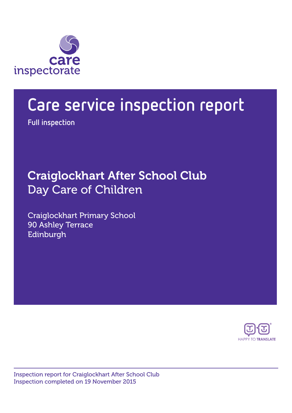

# Care service inspection report

Full inspection

## Craiglockhart After School Club Day Care of Children

Craiglockhart Primary School 90 Ashley Terrace Edinburgh



Inspection report for Craiglockhart After School Club Inspection completed on 19 November 2015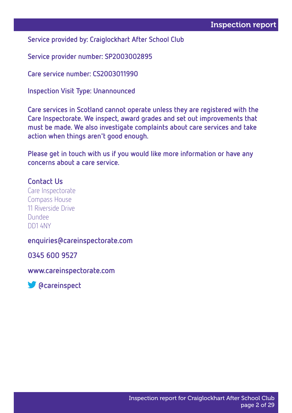Service provided by: Craiglockhart After School Club

Service provider number: SP2003002895

Care service number: CS2003011990

Inspection Visit Type: Unannounced

Care services in Scotland cannot operate unless they are registered with the Care Inspectorate. We inspect, award grades and set out improvements that must be made. We also investigate complaints about care services and take action when things aren't good enough.

Please get in touch with us if you would like more information or have any concerns about a care service.

#### Contact Us

Care Inspectorate Compass House 11 Riverside Drive Dundee DD1 4NY

#### enquiries@careinspectorate.com

0345 600 9527

www.careinspectorate.com

**S** @careinspect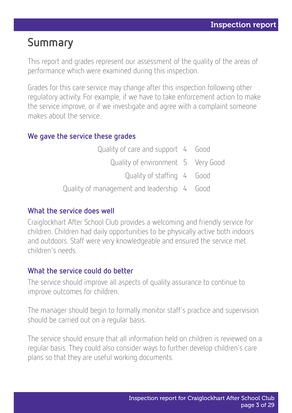## Summary

This report and grades represent our assessment of the quality of the areas of performance which were examined during this inspection.

Grades for this care service may change after this inspection following other regulatory activity. For example, if we have to take enforcement action to make the service improve, or if we investigate and agree with a complaint someone makes about the service.

#### We gave the service these grades

| Quality of care and support 4 Good          |  |
|---------------------------------------------|--|
| Quality of environment 5 Very Good          |  |
| Quality of staffing 4 Good                  |  |
| Quality of management and leadership 4 Good |  |

#### What the service does well

Craiglockhart After School Club provides a welcoming and friendly service for children. Children had daily opportunities to be physically active both indoors and outdoors. Staff were very knowledgeable and ensured the service met children's needs.

#### What the service could do better

The service should improve all aspects of quality assurance to continue to improve outcomes for children.

The manager should begin to formally monitor staff's practice and supervision should be carried out on a regular basis.

The service should ensure that all information held on children is reviewed on a regular basis. They could also consider ways to further develop children's care plans so that they are useful working documents.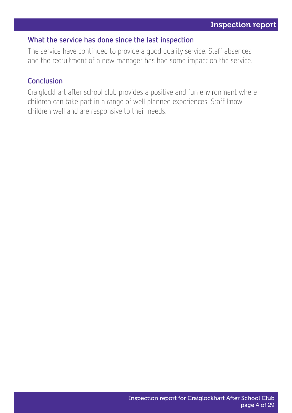#### What the service has done since the last inspection

The service have continued to provide a good quality service. Staff absences and the recruitment of a new manager has had some impact on the service.

#### Conclusion

Craiglockhart after school club provides a positive and fun environment where children can take part in a range of well planned experiences. Staff know children well and are responsive to their needs.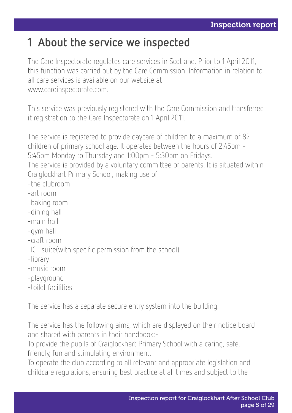## 1 About the service we inspected

The Care Inspectorate regulates care services in Scotland. Prior to 1 April 2011, this function was carried out by the Care Commission. Information in relation to all care services is available on our website at www.careinspectorate.com.

This service was previously registered with the Care Commission and transferred it registration to the Care Inspectorate on 1 April 2011.

The service is registered to provide daycare of children to a maximum of 82 children of primary school age. It operates between the hours of 2:45pm - 5:45pm Monday to Thursday and 1:00pm - 5:30pm on Fridays.

The service is provided by a voluntary committee of parents. It is situated within Craiglockhart Primary School, making use of :

- -the clubroom
- -art room
- -baking room
- -dining hall
- -main hall
- -gym hall
- -craft room
- -ICT suite(with specific permission from the school)
- -library
- -music room
- -playground
- -toilet facilities

The service has a separate secure entry system into the building.

The service has the following aims, which are displayed on their notice board and shared with parents in their handbook:-

To provide the pupils of Craiglockhart Primary School with a caring, safe, friendly, fun and stimulating environment.

To operate the club according to all relevant and appropriate legislation and childcare regulations, ensuring best practice at all times and subject to the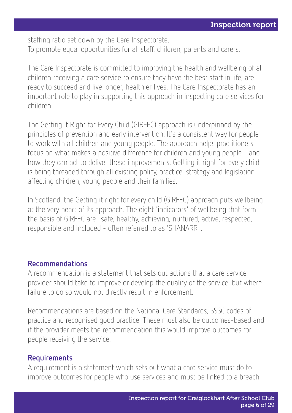staffing ratio set down by the Care Inspectorate. To promote equal opportunities for all staff, children, parents and carers.

The Care Inspectorate is committed to improving the health and wellbeing of all children receiving a care service to ensure they have the best start in life, are ready to succeed and live longer, healthier lives. The Care Inspectorate has an important role to play in supporting this approach in inspecting care services for children.

The Getting it Right for Every Child (GIRFEC) approach is underpinned by the principles of prevention and early intervention. It's a consistent way for people to work with all children and young people. The approach helps practitioners focus on what makes a positive difference for children and young people - and how they can act to deliver these improvements. Getting it right for every child is being threaded through all existing policy, practice, strategy and legislation affecting children, young people and their families.

In Scotland, the Getting it right for every child (GIRFEC) approach puts wellbeing at the very heart of its approach. The eight 'indicators' of wellbeing that form the basis of GIRFEC are- safe, healthy, achieving, nurtured, active, respected, responsible and included - often referred to as 'SHANARRI'.

#### Recommendations

A recommendation is a statement that sets out actions that a care service provider should take to improve or develop the quality of the service, but where failure to do so would not directly result in enforcement.

Recommendations are based on the National Care Standards, SSSC codes of practice and recognised good practice. These must also be outcomes-based and if the provider meets the recommendation this would improve outcomes for people receiving the service.

#### Requirements

A requirement is a statement which sets out what a care service must do to improve outcomes for people who use services and must be linked to a breach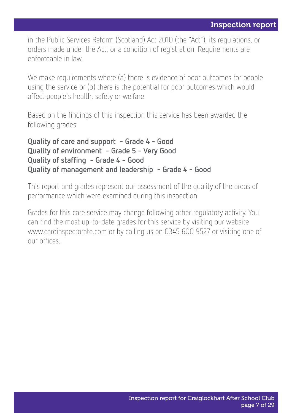in the Public Services Reform (Scotland) Act 2010 (the "Act"), its regulations, or orders made under the Act, or a condition of registration. Requirements are enforceable in law.

We make requirements where (a) there is evidence of poor outcomes for people using the service or (b) there is the potential for poor outcomes which would affect people's health, safety or welfare.

Based on the findings of this inspection this service has been awarded the following grades:

Quality of care and support - Grade 4 - Good Quality of environment - Grade 5 - Very Good Quality of staffing - Grade 4 - Good Quality of management and leadership - Grade 4 - Good

This report and grades represent our assessment of the quality of the areas of performance which were examined during this inspection.

Grades for this care service may change following other regulatory activity. You can find the most up-to-date grades for this service by visiting our website www.careinspectorate.com or by calling us on 0345 600 9527 or visiting one of our offices.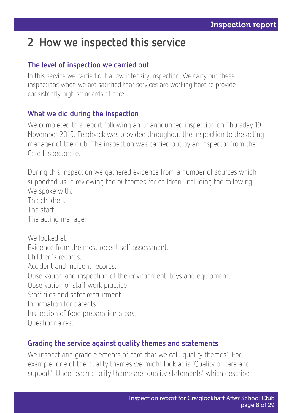## 2 How we inspected this service

#### The level of inspection we carried out

In this service we carried out a low intensity inspection. We carry out these inspections when we are satisfied that services are working hard to provide consistently high standards of care.

#### What we did during the inspection

We completed this report following an unannounced inspection on Thursday 19 November 2015. Feedback was provided throughout the inspection to the acting manager of the club. The inspection was carried out by an Inspector from the Care Inspectorate.

During this inspection we gathered evidence from a number of sources which supported us in reviewing the outcomes for children, including the following: We spoke with:

The children.

The staff

The acting manager.

We looked at: Evidence from the most recent self assessment. Children's records. Accident and incident records. Observation and inspection of the environment, toys and equipment. Observation of staff work practice. Staff files and safer recruitment. Information for parents. Inspection of food preparation areas. Questionnaires.

#### Grading the service against quality themes and statements

We inspect and grade elements of care that we call 'quality themes'. For example, one of the quality themes we might look at is 'Quality of care and support'. Under each quality theme are 'quality statements' which describe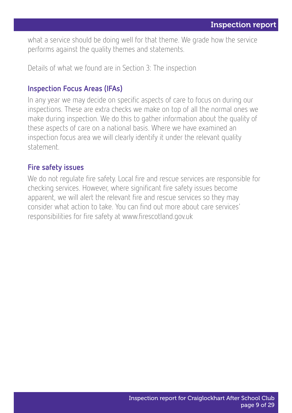what a service should be doing well for that theme. We grade how the service performs against the quality themes and statements.

Details of what we found are in Section 3: The inspection

#### Inspection Focus Areas (IFAs)

In any year we may decide on specific aspects of care to focus on during our inspections. These are extra checks we make on top of all the normal ones we make during inspection. We do this to gather information about the quality of these aspects of care on a national basis. Where we have examined an inspection focus area we will clearly identify it under the relevant quality statement.

#### Fire safety issues

We do not regulate fire safety. Local fire and rescue services are responsible for checking services. However, where significant fire safety issues become apparent, we will alert the relevant fire and rescue services so they may consider what action to take. You can find out more about care services' responsibilities for fire safety at www.firescotland.gov.uk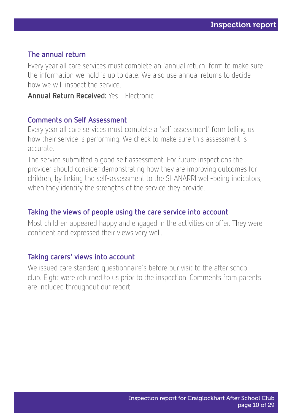#### The annual return

Every year all care services must complete an 'annual return' form to make sure the information we hold is up to date. We also use annual returns to decide how we will inspect the service.

Annual Return Received: Yes - Electronic

#### Comments on Self Assessment

Every year all care services must complete a 'self assessment' form telling us how their service is performing. We check to make sure this assessment is accurate.

The service submitted a good self assessment. For future inspections the provider should consider demonstrating how they are improving outcomes for children, by linking the self-assessment to the SHANARRI well-being indicators, when they identify the strengths of the service they provide.

#### Taking the views of people using the care service into account

Most children appeared happy and engaged in the activities on offer. They were confident and expressed their views very well.

#### Taking carers' views into account

We issued care standard questionnaire's before our visit to the after school club. Eight were returned to us prior to the inspection. Comments from parents are included throughout our report.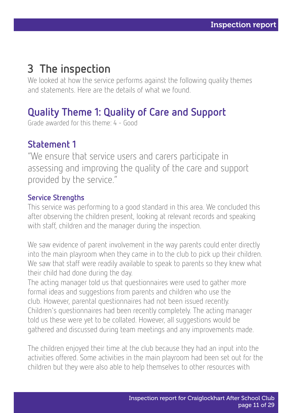## 3 The inspection

We looked at how the service performs against the following quality themes and statements. Here are the details of what we found.

### Quality Theme 1: Quality of Care and Support

Grade awarded for this theme: 4 - Good

### Statement 1

"We ensure that service users and carers participate in assessing and improving the quality of the care and support provided by the service."

#### Service Strengths

This service was performing to a good standard in this area. We concluded this after observing the children present, looking at relevant records and speaking with staff, children and the manager during the inspection.

We saw evidence of parent involvement in the way parents could enter directly into the main playroom when they came in to the club to pick up their children. We saw that staff were readily available to speak to parents so they knew what their child had done during the day.

The acting manager told us that questionnaires were used to gather more formal ideas and suggestions from parents and children who use the club. However, parental questionnaires had not been issued recently. Children's questionnaires had been recently completely. The acting manager told us these were yet to be collated. However, all suggestions would be gathered and discussed during team meetings and any improvements made.

The children enjoyed their time at the club because they had an input into the activities offered. Some activities in the main playroom had been set out for the children but they were also able to help themselves to other resources with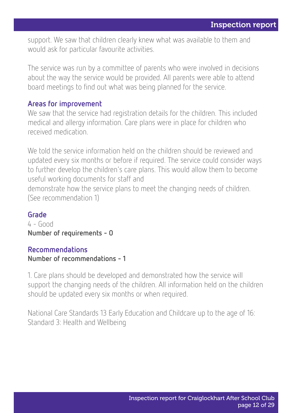support. We saw that children clearly knew what was available to them and would ask for particular favourite activities.

The service was run by a committee of parents who were involved in decisions about the way the service would be provided. All parents were able to attend board meetings to find out what was being planned for the service.

#### Areas for improvement

We saw that the service had registration details for the children. This included medical and allergy information. Care plans were in place for children who received medication.

We told the service information held on the children should be reviewed and updated every six months or before if required. The service could consider ways to further develop the children's care plans. This would allow them to become useful working documents for staff and

demonstrate how the service plans to meet the changing needs of children. (See recommendation 1)

#### Grade

4 - Good Number of requirements - 0

#### Recommendations

#### Number of recommendations - 1

1. Care plans should be developed and demonstrated how the service will support the changing needs of the children. All information held on the children should be updated every six months or when required.

National Care Standards 13 Early Education and Childcare up to the age of 16: Standard 3: Health and Wellbeing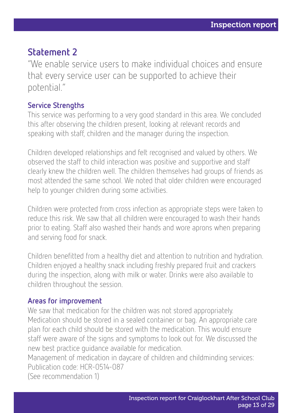### Statement 2

"We enable service users to make individual choices and ensure that every service user can be supported to achieve their potential."

#### Service Strengths

This service was performing to a very good standard in this area. We concluded this after observing the children present, looking at relevant records and speaking with staff, children and the manager during the inspection.

Children developed relationships and felt recognised and valued by others. We observed the staff to child interaction was positive and supportive and staff clearly knew the children well. The children themselves had groups of friends as most attended the same school. We noted that older children were encouraged help to younger children during some activities.

Children were protected from cross infection as appropriate steps were taken to reduce this risk. We saw that all children were encouraged to wash their hands prior to eating. Staff also washed their hands and wore aprons when preparing and serving food for snack.

Children benefitted from a healthy diet and attention to nutrition and hydration. Children enjoyed a healthy snack including freshly prepared fruit and crackers during the inspection, along with milk or water. Drinks were also available to children throughout the session.

#### Areas for improvement

We saw that medication for the children was not stored appropriately. Medication should be stored in a sealed container or bag. An appropriate care plan for each child should be stored with the medication. This would ensure staff were aware of the signs and symptoms to look out for. We discussed the new best practice guidance available for medication.

Management of medication in daycare of children and childminding services: Publication code: HCR-0514-087

(See recommendation 1)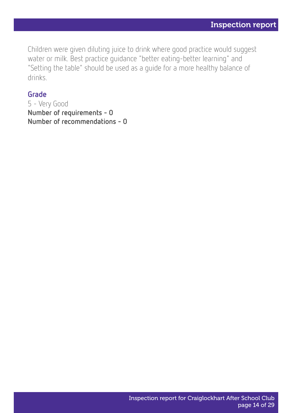Children were given diluting juice to drink where good practice would suggest water or milk. Best practice guidance "better eating-better learning" and "Setting the table" should be used as a guide for a more healthy balance of drinks.

#### Grade

5 - Very Good Number of requirements - 0 Number of recommendations - 0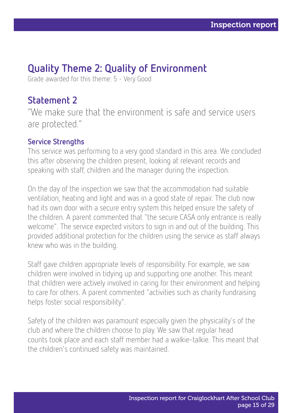### Quality Theme 2: Quality of Environment

Grade awarded for this theme: 5 - Very Good

### Statement 2

"We make sure that the environment is safe and service users are protected."

#### Service Strengths

This service was performing to a very good standard in this area. We concluded this after observing the children present, looking at relevant records and speaking with staff, children and the manager during the inspection.

On the day of the inspection we saw that the accommodation had suitable ventilation, heating and light and was in a good state of repair. The club now had its own door with a secure entry system this helped ensure the safety of the children. A parent commented that "the secure CASA only entrance is really welcome". The service expected visitors to sign in and out of the building. This provided additional protection for the children using the service as staff always knew who was in the building.

Staff gave children appropriate levels of responsibility. For example, we saw children were involved in tidying up and supporting one another. This meant that children were actively involved in caring for their environment and helping to care for others. A parent commented "activities such as charity fundraising helps foster social responsibility".

Safety of the children was paramount especially given the physicality's of the club and where the children choose to play. We saw that regular head counts took place and each staff member had a walkie-talkie. This meant that the children's continued safety was maintained.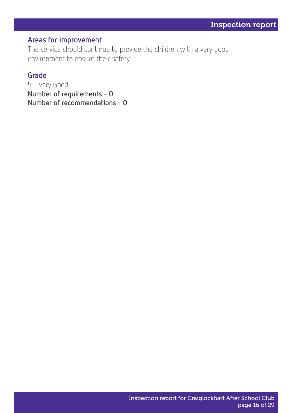#### Areas for improvement

The service should continue to provide the children with a very good environment to ensure their safety.

#### Grade

5 - Very Good Number of requirements - 0 Number of recommendations - 0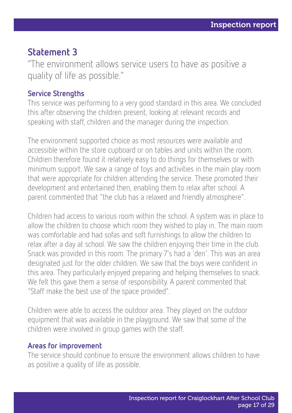### Statement 3

"The environment allows service users to have as positive a quality of life as possible."

#### Service Strengths

This service was performing to a very good standard in this area. We concluded this after observing the children present, looking at relevant records and speaking with staff, children and the manager during the inspection.

The environment supported choice as most resources were available and accessible within the store cupboard or on tables and units within the room. Children therefore found it relatively easy to do things for themselves or with minimum support. We saw a range of toys and activities in the main play room that were appropriate for children attending the service. These promoted their development and entertained then, enabling them to relax after school. A parent commented that "the club has a relaxed and friendly atmosphere".

Children had access to various room within the school. A system was in place to allow the children to choose which room they wished to play in. The main room was comfortable and had sofas and soft furnishings to allow the children to relax after a day at school. We saw the children enjoying their time in the club. Snack was provided in this room. The primary 7's had a 'den'. This was an area designated just for the older children. We saw that the boys were confident in this area. They particularly enjoyed preparing and helping themselves to snack. We felt this gave them a sense of responsibility. A parent commented that "Staff make the best use of the space provided".

Children were able to access the outdoor area. They played on the outdoor equipment that was available in the playground. We saw that some of the children were involved in group games with the staff.

#### Areas for improvement

The service should continue to ensure the environment allows children to have as positive a quality of life as possible.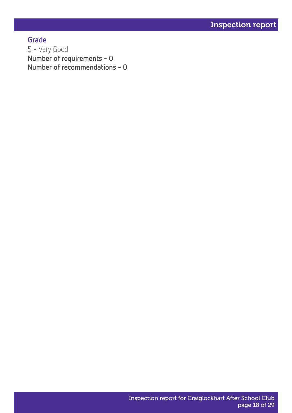Grade 5 - Very Good Number of requirements - 0 Number of recommendations - 0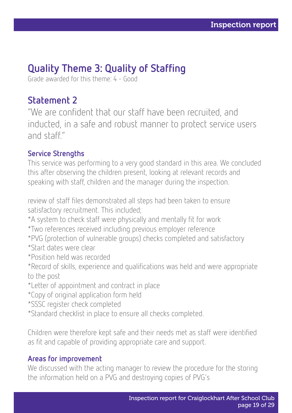### Quality Theme 3: Quality of Staffing

Grade awarded for this theme: 4 - Good

### Statement 2

"We are confident that our staff have been recruited, and inducted, in a safe and robust manner to protect service users and staff."

#### Service Strengths

This service was performing to a very good standard in this area. We concluded this after observing the children present, looking at relevant records and speaking with staff, children and the manager during the inspection.

review of staff files demonstrated all steps had been taken to ensure satisfactory recruitment. This included;

\*A system to check staff were physically and mentally fit for work

- \*Two references received including previous employer reference
- \*PVG (protection of vulnerable groups) checks completed and satisfactory
- \*Start dates were clear
- \*Position held was recorded
- \*Record of skills, experience and qualifications was held and were appropriate to the post
- \*Letter of appointment and contract in place
- \*Copy of original application form held
- \*SSSC register check completed
- \*Standard checklist in place to ensure all checks completed.

Children were therefore kept safe and their needs met as staff were identified as fit and capable of providing appropriate care and support.

#### Areas for improvement

We discussed with the acting manager to review the procedure for the storing the information held on a PVG and destroying copies of PVG's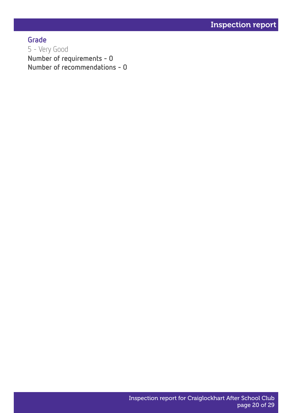Grade 5 - Very Good Number of requirements - 0 Number of recommendations - 0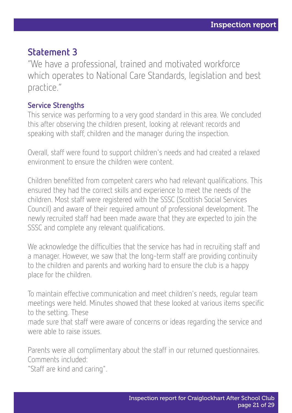### Statement 3

"We have a professional, trained and motivated workforce which operates to National Care Standards, legislation and best practice."

#### Service Strengths

This service was performing to a very good standard in this area. We concluded this after observing the children present, looking at relevant records and speaking with staff, children and the manager during the inspection.

Overall, staff were found to support children's needs and had created a relaxed environment to ensure the children were content.

Children benefitted from competent carers who had relevant qualifications. This ensured they had the correct skills and experience to meet the needs of the children. Most staff were registered with the SSSC (Scottish Social Services Council) and aware of their required amount of professional development. The newly recruited staff had been made aware that they are expected to join the SSSC and complete any relevant qualifications.

We acknowledge the difficulties that the service has had in recruiting staff and a manager. However, we saw that the long-term staff are providing continuity to the children and parents and working hard to ensure the club is a happy place for the children.

To maintain effective communication and meet children's needs, regular team meetings were held. Minutes showed that these looked at various items specific to the setting. These

made sure that staff were aware of concerns or ideas regarding the service and were able to raise issues.

Parents were all complimentary about the staff in our returned questionnaires. Comments included:

"Staff are kind and caring".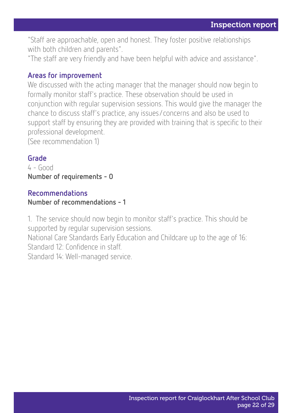"Staff are approachable, open and honest. They foster positive relationships with both children and parents".

"The staff are very friendly and have been helpful with advice and assistance".

#### Areas for improvement

We discussed with the acting manager that the manager should now begin to formally monitor staff's practice. These observation should be used in conjunction with regular supervision sessions. This would give the manager the chance to discuss staff's practice, any issues/concerns and also be used to support staff by ensuring they are provided with training that is specific to their professional development.

(See recommendation 1)

#### Grade

 $4 - 6$ Number of requirements - 0

#### Recommendations

#### Number of recommendations - 1

1. The service should now begin to monitor staff's practice. This should be supported by regular supervision sessions.

National Care Standards Early Education and Childcare up to the age of 16: Standard 12: Confidence in staff.

Standard 14: Well-managed service.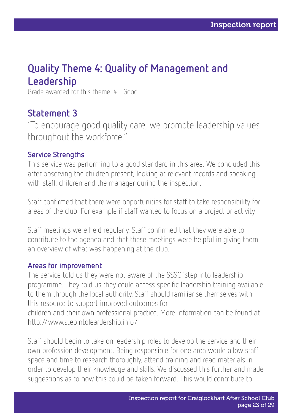### Quality Theme 4: Quality of Management and Leadership

Grade awarded for this theme: 4 - Good

### Statement 3

"To encourage good quality care, we promote leadership values throughout the workforce."

#### Service Strengths

This service was performing to a good standard in this area. We concluded this after observing the children present, looking at relevant records and speaking with staff, children and the manager during the inspection.

Staff confirmed that there were opportunities for staff to take responsibility for areas of the club. For example if staff wanted to focus on a project or activity.

Staff meetings were held regularly. Staff confirmed that they were able to contribute to the agenda and that these meetings were helpful in giving them an overview of what was happening at the club.

#### Areas for improvement

The service told us they were not aware of the SSSC 'step into leadership' programme. They told us they could access specific leadership training available to them through the local authority. Staff should familiarise themselves with this resource to support improved outcomes for children and their own professional practice. More information can be found at http://www.stepintoleardership.info/

Staff should begin to take on leadership roles to develop the service and their own profession development. Being responsible for one area would allow staff space and time to research thoroughly, attend training and read materials in order to develop their knowledge and skills. We discussed this further and made suggestions as to how this could be taken forward. This would contribute to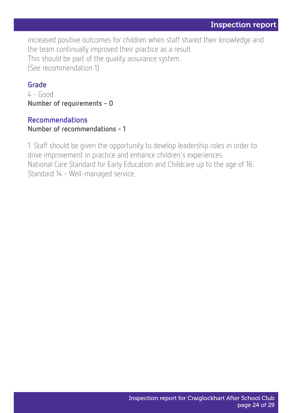increased positive outcomes for children when staff shared their knowledge and the team continually improved their practice as a result. This should be part of the quality assurance system. (See recommendation 1)

#### Grade

4 - Good Number of requirements - 0

#### Recommendations

Number of recommendations - 1

1. Staff should be given the opportunity to develop leadership roles in order to drive improvement in practice and enhance children's experiences. National Care Standard for Early Education and Childcare up to the age of 16: Standard 14 - Well-managed service.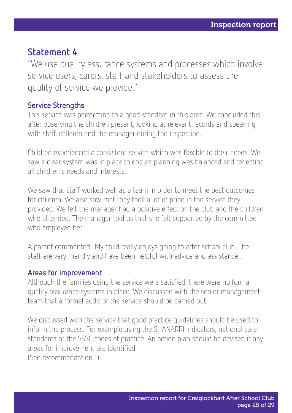### Statement 4

"We use quality assurance systems and processes which involve service users, carers, staff and stakeholders to assess the quality of service we provide."

#### Service Strengths

This service was performing to a good standard in this area. We concluded this after observing the children present, looking at relevant records and speaking with staff, children and the manager during the inspection.

Children experienced a consistent service which was flexible to their needs. We saw a clear system was in place to ensure planning was balanced and reflecting all children's needs and interests.

We saw that staff worked well as a team in order to meet the best outcomes for children. We also saw that they took a lot of pride in the service they provided. We felt the manager had a positive effect on the club and the children who attended. The manager told us that she felt supported by the committee who employed her.

A parent commented "My child really enjoys going to after school club. The staff are very friendly and have been helpful with advice and assistance".

#### Areas for improvement

Although the families using the service were satisfied, there were no formal quality assurance systems in place. We discussed with the senior management team that a formal audit of the service should be carried out.

We discussed with the service that good practice guidelines should be used to inform the process. For example using the SHANARRI indicators, national care standards or the SSSC codes of practice. An action plan should be devised if any areas for improvement are identified.

(See recommendation 1)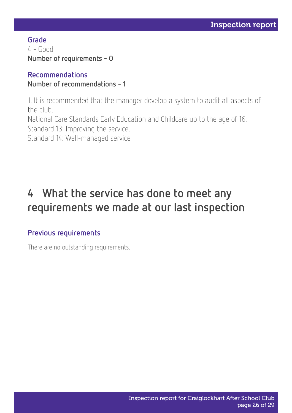Grade 4 - Good Number of requirements - 0

#### Recommendations Number of recommendations - 1

1. It is recommended that the manager develop a system to audit all aspects of the club.

National Care Standards Early Education and Childcare up to the age of 16: Standard 13: Improving the service.

Standard 14: Well-managed service

## 4 What the service has done to meet any requirements we made at our last inspection

#### Previous requirements

There are no outstanding requirements.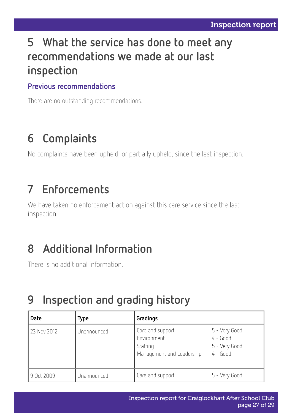## 5 What the service has done to meet any recommendations we made at our last inspection

#### Previous recommendations

There are no outstanding recommendations.

## 6 Complaints

No complaints have been upheld, or partially upheld, since the last inspection.

## 7 Enforcements

We have taken no enforcement action against this care service since the last inspection.

## 8 Additional Information

There is no additional information.

## 9 Inspection and grading history

| <b>Date</b> | Type        | Gradings                                                                 |                                                            |
|-------------|-------------|--------------------------------------------------------------------------|------------------------------------------------------------|
| 23 Nov 2012 | Unannounced | Care and support<br>Environment<br>Staffing<br>Management and Leadership | 5 - Very Good<br>$4 - Good$<br>5 - Very Good<br>$4 - Good$ |
| 9 Oct 2009  | Unannounced | Care and support                                                         | 5 - Very Good                                              |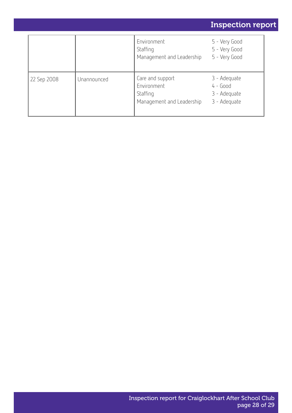|             |             |                                                                          | <b>Inspection report</b>                                   |
|-------------|-------------|--------------------------------------------------------------------------|------------------------------------------------------------|
|             |             | Environment<br>Staffing<br>Management and Leadership                     | 5 - Very Good<br>5 - Very Good<br>5 - Very Good            |
| 22 Sep 2008 | Unannounced | Care and support<br>Environment<br>Staffing<br>Management and Leadership | 3 - Adequate<br>$4 - Good$<br>3 - Adequate<br>3 - Adequate |